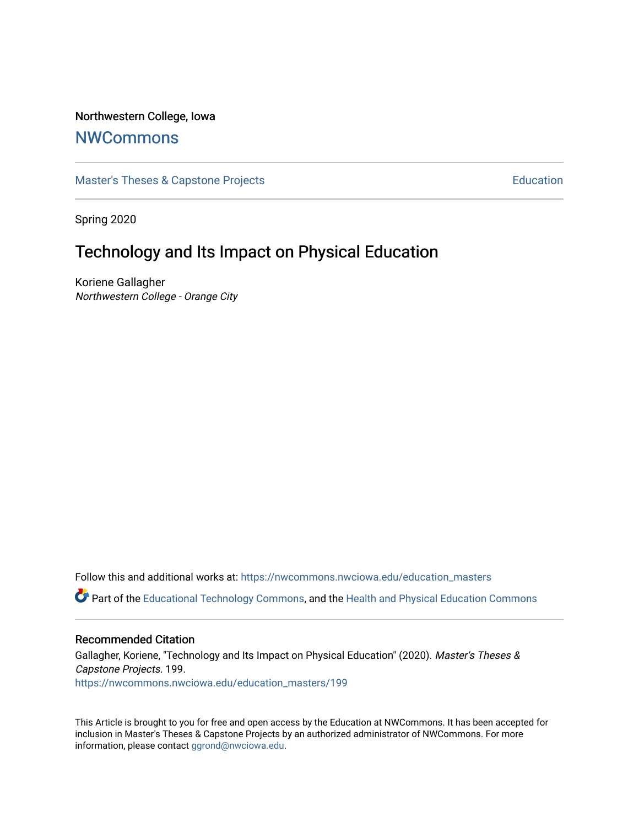## Northwestern College, Iowa

# **[NWCommons](https://nwcommons.nwciowa.edu/)**

[Master's Theses & Capstone Projects](https://nwcommons.nwciowa.edu/education_masters) **Education** Education

Spring 2020

# Technology and Its Impact on Physical Education

Koriene Gallagher Northwestern College - Orange City

Follow this and additional works at: [https://nwcommons.nwciowa.edu/education\\_masters](https://nwcommons.nwciowa.edu/education_masters?utm_source=nwcommons.nwciowa.edu%2Feducation_masters%2F199&utm_medium=PDF&utm_campaign=PDFCoverPages)

Part of the [Educational Technology Commons,](http://network.bepress.com/hgg/discipline/1415?utm_source=nwcommons.nwciowa.edu%2Feducation_masters%2F199&utm_medium=PDF&utm_campaign=PDFCoverPages) and the [Health and Physical Education Commons](http://network.bepress.com/hgg/discipline/1327?utm_source=nwcommons.nwciowa.edu%2Feducation_masters%2F199&utm_medium=PDF&utm_campaign=PDFCoverPages) 

#### Recommended Citation

Gallagher, Koriene, "Technology and Its Impact on Physical Education" (2020). Master's Theses & Capstone Projects. 199. [https://nwcommons.nwciowa.edu/education\\_masters/199](https://nwcommons.nwciowa.edu/education_masters/199?utm_source=nwcommons.nwciowa.edu%2Feducation_masters%2F199&utm_medium=PDF&utm_campaign=PDFCoverPages)

This Article is brought to you for free and open access by the Education at NWCommons. It has been accepted for inclusion in Master's Theses & Capstone Projects by an authorized administrator of NWCommons. For more information, please contact [ggrond@nwciowa.edu](mailto:ggrond@nwciowa.edu).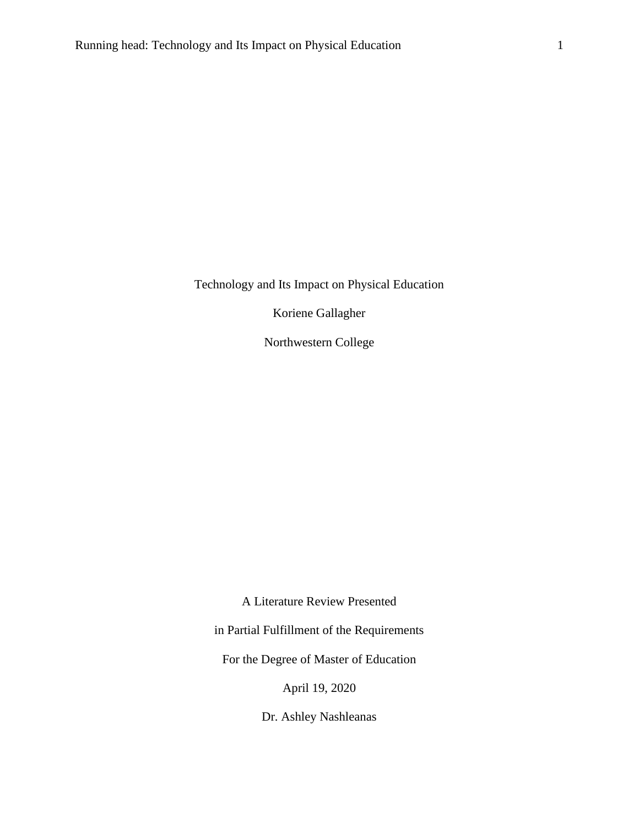Koriene Gallagher

Northwestern College

A Literature Review Presented

in Partial Fulfillment of the Requirements

For the Degree of Master of Education

April 19, 2020

Dr. Ashley Nashleanas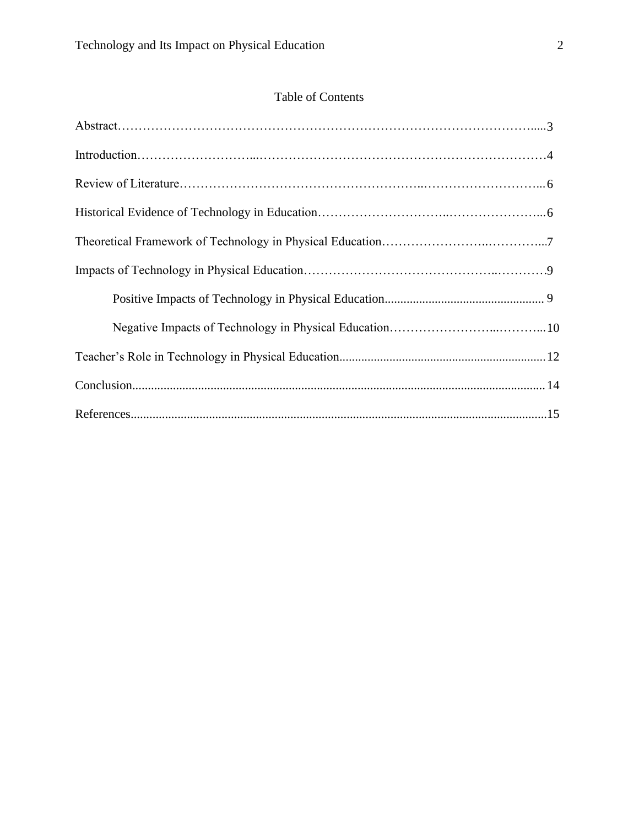# Table of Contents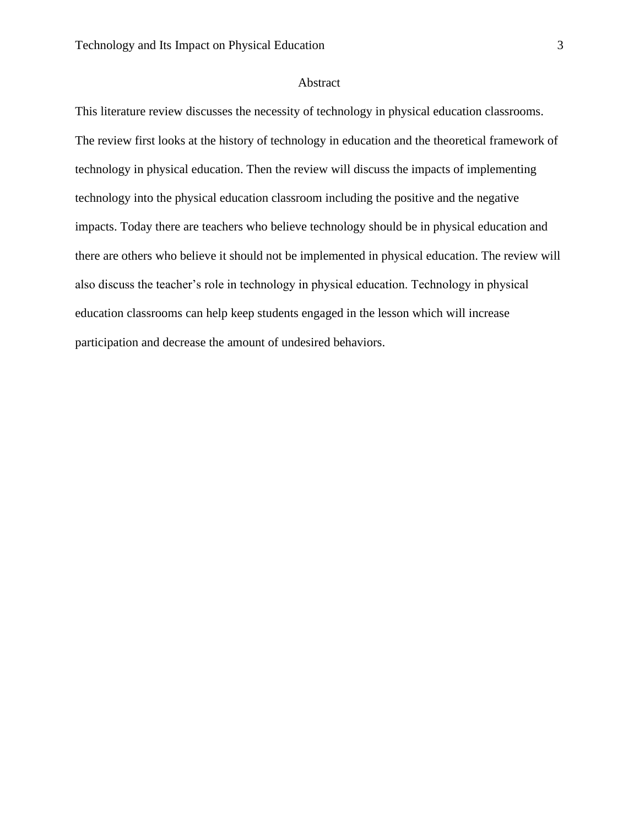## Abstract

This literature review discusses the necessity of technology in physical education classrooms. The review first looks at the history of technology in education and the theoretical framework of technology in physical education. Then the review will discuss the impacts of implementing technology into the physical education classroom including the positive and the negative impacts. Today there are teachers who believe technology should be in physical education and there are others who believe it should not be implemented in physical education. The review will also discuss the teacher's role in technology in physical education. Technology in physical education classrooms can help keep students engaged in the lesson which will increase participation and decrease the amount of undesired behaviors.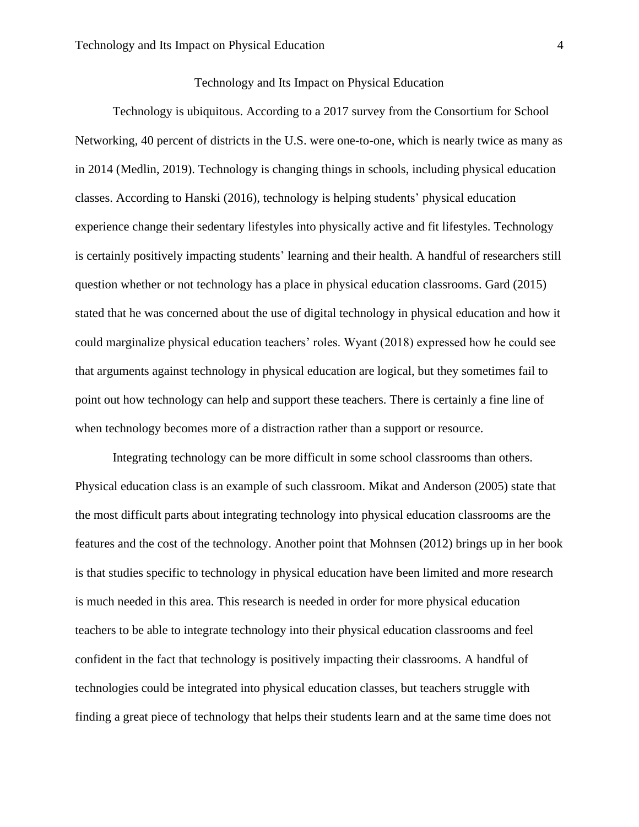Technology is ubiquitous. According to a 2017 survey from the Consortium for School Networking, 40 percent of districts in the U.S. were one-to-one, which is nearly twice as many as in 2014 (Medlin, 2019). Technology is changing things in schools, including physical education classes. According to Hanski (2016), technology is helping students' physical education experience change their sedentary lifestyles into physically active and fit lifestyles. Technology is certainly positively impacting students' learning and their health. A handful of researchers still question whether or not technology has a place in physical education classrooms. Gard (2015) stated that he was concerned about the use of digital technology in physical education and how it could marginalize physical education teachers' roles. Wyant (2018) expressed how he could see that arguments against technology in physical education are logical, but they sometimes fail to point out how technology can help and support these teachers. There is certainly a fine line of when technology becomes more of a distraction rather than a support or resource.

Integrating technology can be more difficult in some school classrooms than others. Physical education class is an example of such classroom. Mikat and Anderson (2005) state that the most difficult parts about integrating technology into physical education classrooms are the features and the cost of the technology. Another point that Mohnsen (2012) brings up in her book is that studies specific to technology in physical education have been limited and more research is much needed in this area. This research is needed in order for more physical education teachers to be able to integrate technology into their physical education classrooms and feel confident in the fact that technology is positively impacting their classrooms. A handful of technologies could be integrated into physical education classes, but teachers struggle with finding a great piece of technology that helps their students learn and at the same time does not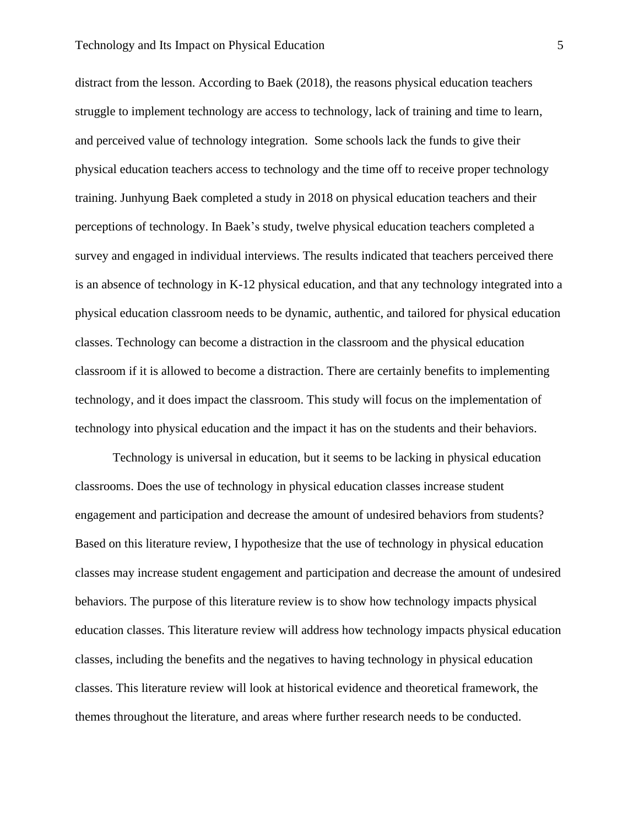distract from the lesson. According to Baek (2018), the reasons physical education teachers struggle to implement technology are access to technology, lack of training and time to learn, and perceived value of technology integration. Some schools lack the funds to give their physical education teachers access to technology and the time off to receive proper technology training. Junhyung Baek completed a study in 2018 on physical education teachers and their perceptions of technology. In Baek's study, twelve physical education teachers completed a survey and engaged in individual interviews. The results indicated that teachers perceived there is an absence of technology in K-12 physical education, and that any technology integrated into a physical education classroom needs to be dynamic, authentic, and tailored for physical education classes. Technology can become a distraction in the classroom and the physical education classroom if it is allowed to become a distraction. There are certainly benefits to implementing technology, and it does impact the classroom. This study will focus on the implementation of technology into physical education and the impact it has on the students and their behaviors.

Technology is universal in education, but it seems to be lacking in physical education classrooms. Does the use of technology in physical education classes increase student engagement and participation and decrease the amount of undesired behaviors from students? Based on this literature review, I hypothesize that the use of technology in physical education classes may increase student engagement and participation and decrease the amount of undesired behaviors. The purpose of this literature review is to show how technology impacts physical education classes. This literature review will address how technology impacts physical education classes, including the benefits and the negatives to having technology in physical education classes. This literature review will look at historical evidence and theoretical framework, the themes throughout the literature, and areas where further research needs to be conducted.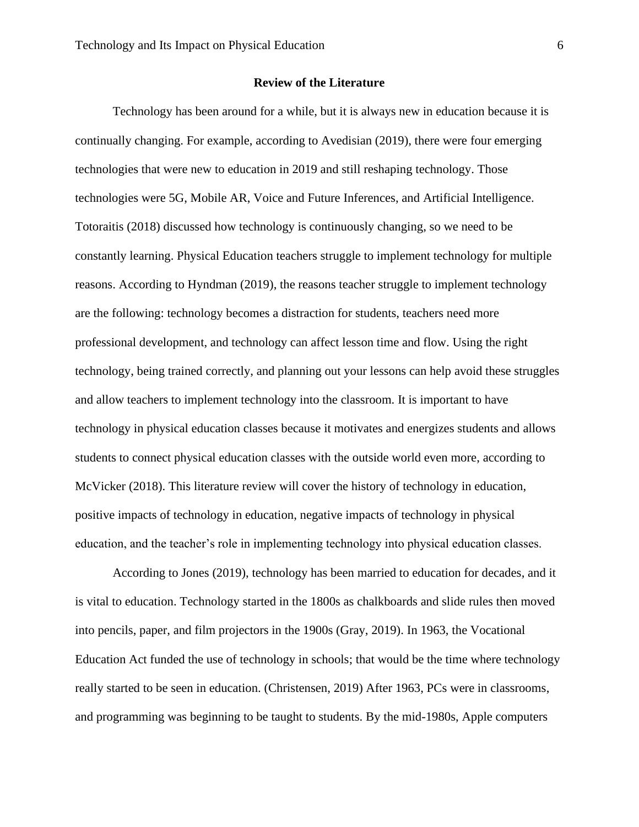#### **Review of the Literature**

Technology has been around for a while, but it is always new in education because it is continually changing. For example, according to Avedisian (2019), there were four emerging technologies that were new to education in 2019 and still reshaping technology. Those technologies were 5G, Mobile AR, Voice and Future Inferences, and Artificial Intelligence. Totoraitis (2018) discussed how technology is continuously changing, so we need to be constantly learning. Physical Education teachers struggle to implement technology for multiple reasons. According to Hyndman (2019), the reasons teacher struggle to implement technology are the following: technology becomes a distraction for students, teachers need more professional development, and technology can affect lesson time and flow. Using the right technology, being trained correctly, and planning out your lessons can help avoid these struggles and allow teachers to implement technology into the classroom. It is important to have technology in physical education classes because it motivates and energizes students and allows students to connect physical education classes with the outside world even more, according to McVicker (2018). This literature review will cover the history of technology in education, positive impacts of technology in education, negative impacts of technology in physical education, and the teacher's role in implementing technology into physical education classes.

According to Jones (2019), technology has been married to education for decades, and it is vital to education. Technology started in the 1800s as chalkboards and slide rules then moved into pencils, paper, and film projectors in the 1900s (Gray, 2019). In 1963, the Vocational Education Act funded the use of technology in schools; that would be the time where technology really started to be seen in education. (Christensen, 2019) After 1963, PCs were in classrooms, and programming was beginning to be taught to students. By the mid-1980s, Apple computers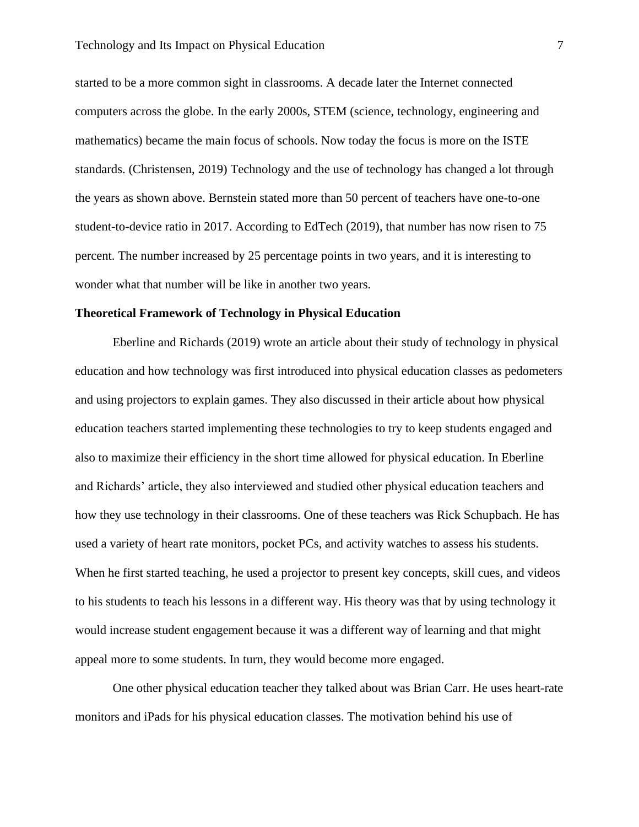started to be a more common sight in classrooms. A decade later the Internet connected computers across the globe. In the early 2000s, STEM (science, technology, engineering and mathematics) became the main focus of schools. Now today the focus is more on the ISTE standards. (Christensen, 2019) Technology and the use of technology has changed a lot through the years as shown above. Bernstein stated more than 50 percent of teachers have one-to-one student-to-device ratio in 2017. According to EdTech (2019), that number has now risen to 75 percent. The number increased by 25 percentage points in two years, and it is interesting to wonder what that number will be like in another two years.

#### **Theoretical Framework of Technology in Physical Education**

Eberline and Richards (2019) wrote an article about their study of technology in physical education and how technology was first introduced into physical education classes as pedometers and using projectors to explain games. They also discussed in their article about how physical education teachers started implementing these technologies to try to keep students engaged and also to maximize their efficiency in the short time allowed for physical education. In Eberline and Richards' article, they also interviewed and studied other physical education teachers and how they use technology in their classrooms. One of these teachers was Rick Schupbach. He has used a variety of heart rate monitors, pocket PCs, and activity watches to assess his students. When he first started teaching, he used a projector to present key concepts, skill cues, and videos to his students to teach his lessons in a different way. His theory was that by using technology it would increase student engagement because it was a different way of learning and that might appeal more to some students. In turn, they would become more engaged.

One other physical education teacher they talked about was Brian Carr. He uses heart-rate monitors and iPads for his physical education classes. The motivation behind his use of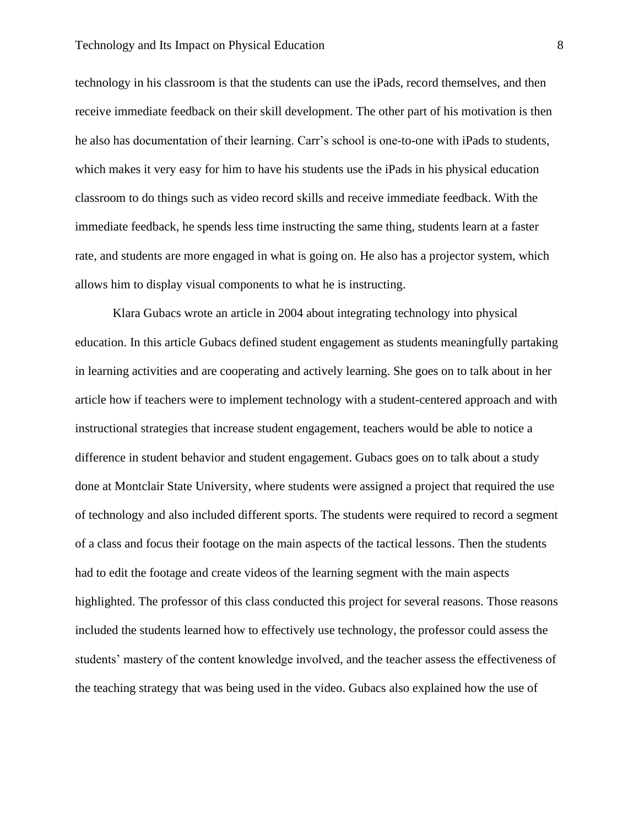technology in his classroom is that the students can use the iPads, record themselves, and then receive immediate feedback on their skill development. The other part of his motivation is then he also has documentation of their learning. Carr's school is one-to-one with iPads to students, which makes it very easy for him to have his students use the iPads in his physical education classroom to do things such as video record skills and receive immediate feedback. With the immediate feedback, he spends less time instructing the same thing, students learn at a faster rate, and students are more engaged in what is going on. He also has a projector system, which allows him to display visual components to what he is instructing.

Klara Gubacs wrote an article in 2004 about integrating technology into physical education. In this article Gubacs defined student engagement as students meaningfully partaking in learning activities and are cooperating and actively learning. She goes on to talk about in her article how if teachers were to implement technology with a student-centered approach and with instructional strategies that increase student engagement, teachers would be able to notice a difference in student behavior and student engagement. Gubacs goes on to talk about a study done at Montclair State University, where students were assigned a project that required the use of technology and also included different sports. The students were required to record a segment of a class and focus their footage on the main aspects of the tactical lessons. Then the students had to edit the footage and create videos of the learning segment with the main aspects highlighted. The professor of this class conducted this project for several reasons. Those reasons included the students learned how to effectively use technology, the professor could assess the students' mastery of the content knowledge involved, and the teacher assess the effectiveness of the teaching strategy that was being used in the video. Gubacs also explained how the use of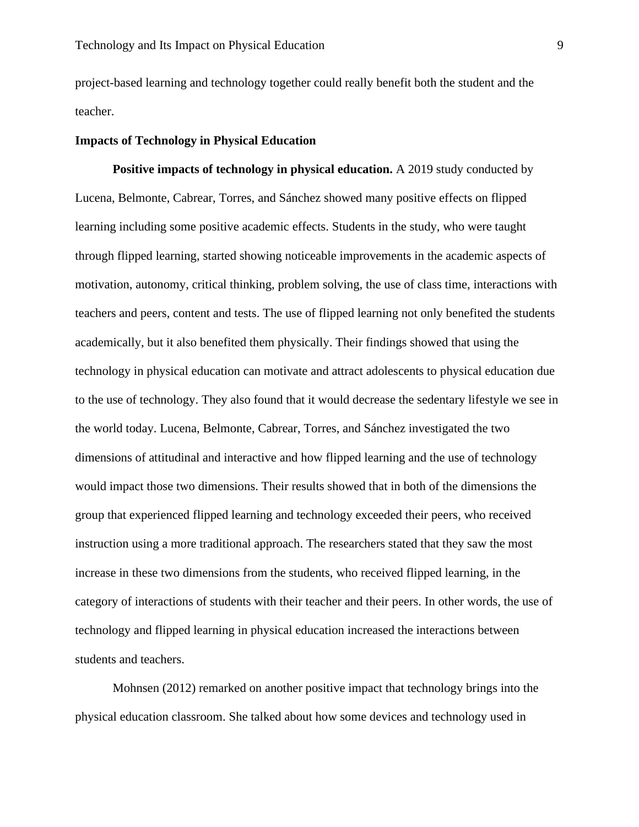project-based learning and technology together could really benefit both the student and the teacher.

#### **Impacts of Technology in Physical Education**

**Positive impacts of technology in physical education.** A 2019 study conducted by Lucena, Belmonte, Cabrear, Torres, and Sánchez showed many positive effects on flipped learning including some positive academic effects. Students in the study, who were taught through flipped learning, started showing noticeable improvements in the academic aspects of motivation, autonomy, critical thinking, problem solving, the use of class time, interactions with teachers and peers, content and tests. The use of flipped learning not only benefited the students academically, but it also benefited them physically. Their findings showed that using the technology in physical education can motivate and attract adolescents to physical education due to the use of technology. They also found that it would decrease the sedentary lifestyle we see in the world today. Lucena, Belmonte, Cabrear, Torres, and Sánchez investigated the two dimensions of attitudinal and interactive and how flipped learning and the use of technology would impact those two dimensions. Their results showed that in both of the dimensions the group that experienced flipped learning and technology exceeded their peers, who received instruction using a more traditional approach. The researchers stated that they saw the most increase in these two dimensions from the students, who received flipped learning, in the category of interactions of students with their teacher and their peers. In other words, the use of technology and flipped learning in physical education increased the interactions between students and teachers.

Mohnsen (2012) remarked on another positive impact that technology brings into the physical education classroom. She talked about how some devices and technology used in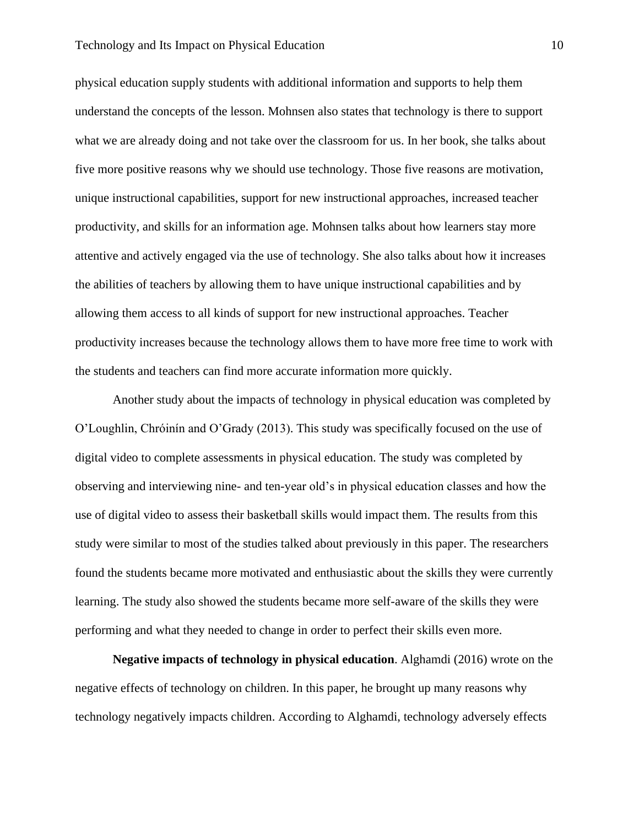physical education supply students with additional information and supports to help them understand the concepts of the lesson. Mohnsen also states that technology is there to support what we are already doing and not take over the classroom for us. In her book, she talks about five more positive reasons why we should use technology. Those five reasons are motivation, unique instructional capabilities, support for new instructional approaches, increased teacher productivity, and skills for an information age. Mohnsen talks about how learners stay more attentive and actively engaged via the use of technology. She also talks about how it increases the abilities of teachers by allowing them to have unique instructional capabilities and by allowing them access to all kinds of support for new instructional approaches. Teacher productivity increases because the technology allows them to have more free time to work with the students and teachers can find more accurate information more quickly.

Another study about the impacts of technology in physical education was completed by O'Loughlin, Chróinín and O'Grady (2013). This study was specifically focused on the use of digital video to complete assessments in physical education. The study was completed by observing and interviewing nine- and ten-year old's in physical education classes and how the use of digital video to assess their basketball skills would impact them. The results from this study were similar to most of the studies talked about previously in this paper. The researchers found the students became more motivated and enthusiastic about the skills they were currently learning. The study also showed the students became more self-aware of the skills they were performing and what they needed to change in order to perfect their skills even more.

**Negative impacts of technology in physical education**. Alghamdi (2016) wrote on the negative effects of technology on children. In this paper, he brought up many reasons why technology negatively impacts children. According to Alghamdi, technology adversely effects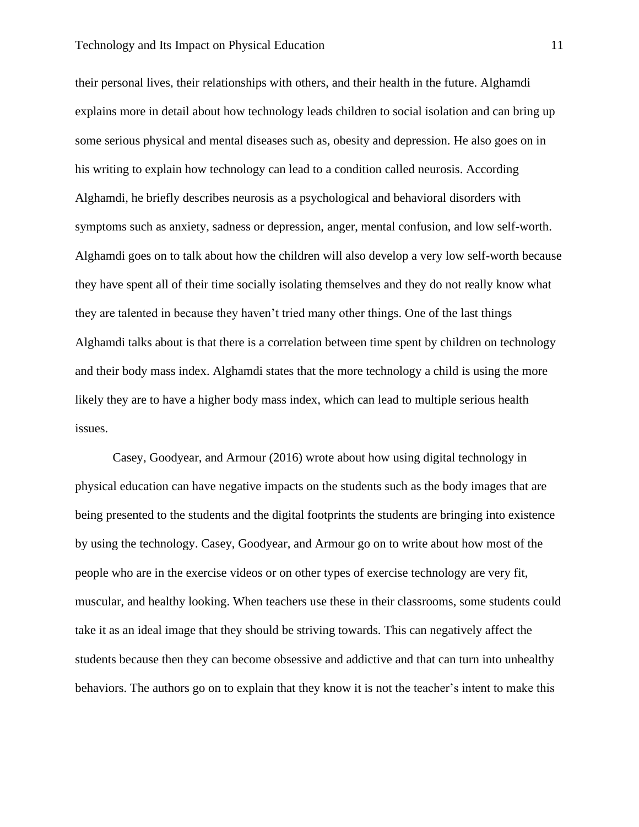their personal lives, their relationships with others, and their health in the future. Alghamdi explains more in detail about how technology leads children to social isolation and can bring up some serious physical and mental diseases such as, obesity and depression. He also goes on in his writing to explain how technology can lead to a condition called neurosis. According Alghamdi, he briefly describes neurosis as a psychological and behavioral disorders with symptoms such as anxiety, sadness or depression, anger, mental confusion, and low self-worth. Alghamdi goes on to talk about how the children will also develop a very low self-worth because they have spent all of their time socially isolating themselves and they do not really know what they are talented in because they haven't tried many other things. One of the last things Alghamdi talks about is that there is a correlation between time spent by children on technology and their body mass index. Alghamdi states that the more technology a child is using the more likely they are to have a higher body mass index, which can lead to multiple serious health issues.

Casey, Goodyear, and Armour (2016) wrote about how using digital technology in physical education can have negative impacts on the students such as the body images that are being presented to the students and the digital footprints the students are bringing into existence by using the technology. Casey, Goodyear, and Armour go on to write about how most of the people who are in the exercise videos or on other types of exercise technology are very fit, muscular, and healthy looking. When teachers use these in their classrooms, some students could take it as an ideal image that they should be striving towards. This can negatively affect the students because then they can become obsessive and addictive and that can turn into unhealthy behaviors. The authors go on to explain that they know it is not the teacher's intent to make this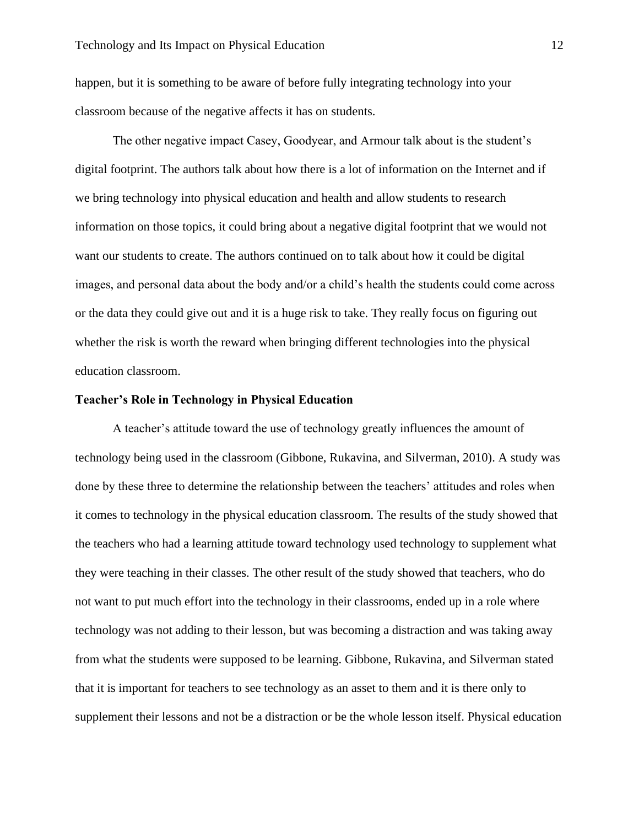happen, but it is something to be aware of before fully integrating technology into your classroom because of the negative affects it has on students.

The other negative impact Casey, Goodyear, and Armour talk about is the student's digital footprint. The authors talk about how there is a lot of information on the Internet and if we bring technology into physical education and health and allow students to research information on those topics, it could bring about a negative digital footprint that we would not want our students to create. The authors continued on to talk about how it could be digital images, and personal data about the body and/or a child's health the students could come across or the data they could give out and it is a huge risk to take. They really focus on figuring out whether the risk is worth the reward when bringing different technologies into the physical education classroom.

#### **Teacher's Role in Technology in Physical Education**

A teacher's attitude toward the use of technology greatly influences the amount of technology being used in the classroom (Gibbone, Rukavina, and Silverman, 2010). A study was done by these three to determine the relationship between the teachers' attitudes and roles when it comes to technology in the physical education classroom. The results of the study showed that the teachers who had a learning attitude toward technology used technology to supplement what they were teaching in their classes. The other result of the study showed that teachers, who do not want to put much effort into the technology in their classrooms, ended up in a role where technology was not adding to their lesson, but was becoming a distraction and was taking away from what the students were supposed to be learning. Gibbone, Rukavina, and Silverman stated that it is important for teachers to see technology as an asset to them and it is there only to supplement their lessons and not be a distraction or be the whole lesson itself. Physical education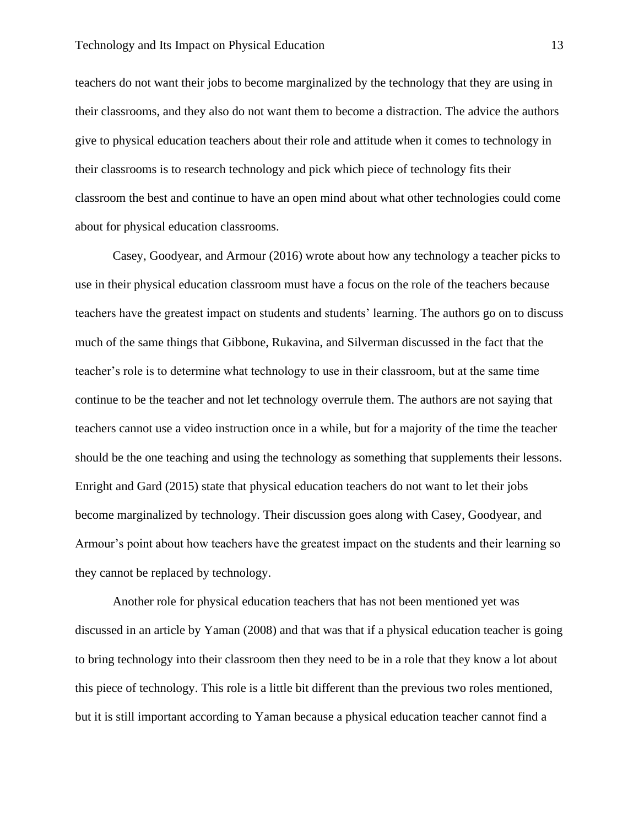teachers do not want their jobs to become marginalized by the technology that they are using in their classrooms, and they also do not want them to become a distraction. The advice the authors give to physical education teachers about their role and attitude when it comes to technology in their classrooms is to research technology and pick which piece of technology fits their classroom the best and continue to have an open mind about what other technologies could come about for physical education classrooms.

Casey, Goodyear, and Armour (2016) wrote about how any technology a teacher picks to use in their physical education classroom must have a focus on the role of the teachers because teachers have the greatest impact on students and students' learning. The authors go on to discuss much of the same things that Gibbone, Rukavina, and Silverman discussed in the fact that the teacher's role is to determine what technology to use in their classroom, but at the same time continue to be the teacher and not let technology overrule them. The authors are not saying that teachers cannot use a video instruction once in a while, but for a majority of the time the teacher should be the one teaching and using the technology as something that supplements their lessons. Enright and Gard (2015) state that physical education teachers do not want to let their jobs become marginalized by technology. Their discussion goes along with Casey, Goodyear, and Armour's point about how teachers have the greatest impact on the students and their learning so they cannot be replaced by technology.

Another role for physical education teachers that has not been mentioned yet was discussed in an article by Yaman (2008) and that was that if a physical education teacher is going to bring technology into their classroom then they need to be in a role that they know a lot about this piece of technology. This role is a little bit different than the previous two roles mentioned, but it is still important according to Yaman because a physical education teacher cannot find a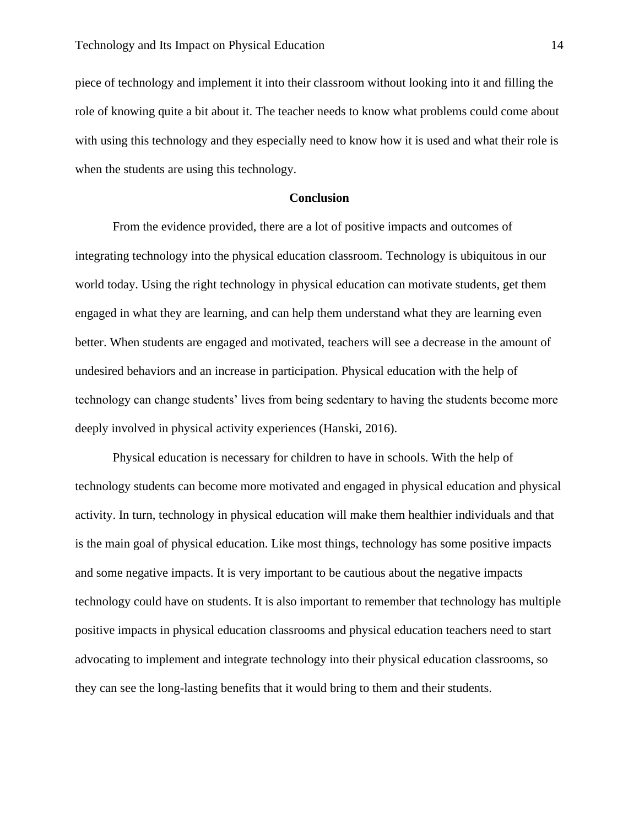piece of technology and implement it into their classroom without looking into it and filling the role of knowing quite a bit about it. The teacher needs to know what problems could come about with using this technology and they especially need to know how it is used and what their role is when the students are using this technology.

#### **Conclusion**

From the evidence provided, there are a lot of positive impacts and outcomes of integrating technology into the physical education classroom. Technology is ubiquitous in our world today. Using the right technology in physical education can motivate students, get them engaged in what they are learning, and can help them understand what they are learning even better. When students are engaged and motivated, teachers will see a decrease in the amount of undesired behaviors and an increase in participation. Physical education with the help of technology can change students' lives from being sedentary to having the students become more deeply involved in physical activity experiences (Hanski, 2016).

Physical education is necessary for children to have in schools. With the help of technology students can become more motivated and engaged in physical education and physical activity. In turn, technology in physical education will make them healthier individuals and that is the main goal of physical education. Like most things, technology has some positive impacts and some negative impacts. It is very important to be cautious about the negative impacts technology could have on students. It is also important to remember that technology has multiple positive impacts in physical education classrooms and physical education teachers need to start advocating to implement and integrate technology into their physical education classrooms, so they can see the long-lasting benefits that it would bring to them and their students.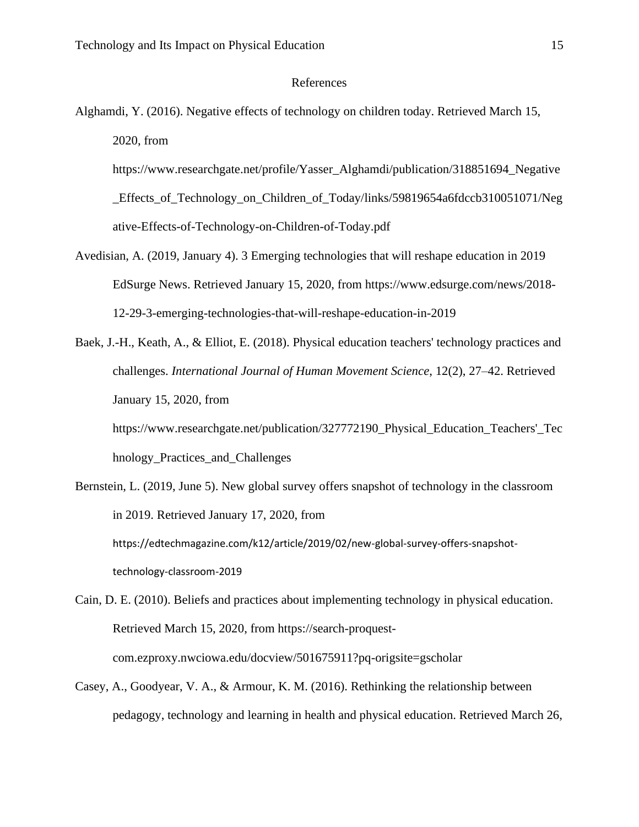#### References

Alghamdi, Y. (2016). Negative effects of technology on children today. Retrieved March 15, 2020, from

https://www.researchgate.net/profile/Yasser\_Alghamdi/publication/318851694\_Negative Effects of Technology on Children of Today/links/59819654a6fdccb310051071/Neg ative-Effects-of-Technology-on-Children-of-Today.pdf

- Avedisian, A. (2019, January 4). 3 Emerging technologies that will reshape education in 2019 EdSurge News. Retrieved January 15, 2020, from https://www.edsurge.com/news/2018- 12-29-3-emerging-technologies-that-will-reshape-education-in-2019
- Baek, J.-H., Keath, A., & Elliot, E. (2018). Physical education teachers' technology practices and challenges. *International Journal of Human Movement Science*, 12(2), 27–42. Retrieved January 15, 2020, from

https://www.researchgate.net/publication/327772190\_Physical\_Education\_Teachers'\_Tec hnology\_Practices\_and\_Challenges

- Bernstein, L. (2019, June 5). New global survey offers snapshot of technology in the classroom in 2019. Retrieved January 17, 2020, from https://edtechmagazine.com/k12/article/2019/02/new-global-survey-offers-snapshottechnology-classroom-2019
- Cain, D. E. (2010). Beliefs and practices about implementing technology in physical education. Retrieved March 15, 2020, from https://search-proquestcom.ezproxy.nwciowa.edu/docview/501675911?pq-origsite=gscholar
- Casey, A., Goodyear, V. A., & Armour, K. M. (2016). Rethinking the relationship between pedagogy, technology and learning in health and physical education. Retrieved March 26,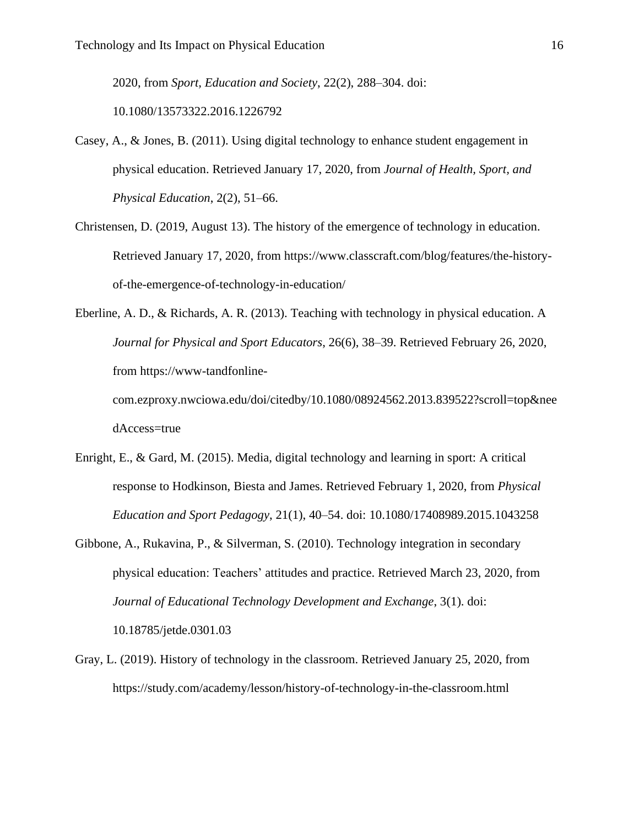2020, from *Sport, Education and Society*, 22(2), 288–304. doi:

10.1080/13573322.2016.1226792

- Casey, A., & Jones, B. (2011). Using digital technology to enhance student engagement in physical education. Retrieved January 17, 2020, from *Journal of Health, Sport, and Physical Education*, 2(2), 51–66.
- Christensen, D. (2019, August 13). The history of the emergence of technology in education. Retrieved January 17, 2020, from https://www.classcraft.com/blog/features/the-historyof-the-emergence-of-technology-in-education/
- Eberline, A. D., & Richards, A. R. (2013). Teaching with technology in physical education. A *Journal for Physical and Sport Educators*, 26(6), 38–39. Retrieved February 26, 2020, from https://www-tandfonlinecom.ezproxy.nwciowa.edu/doi/citedby/10.1080/08924562.2013.839522?scroll=top&nee

dAccess=true

- Enright, E., & Gard, M. (2015). Media, digital technology and learning in sport: A critical response to Hodkinson, Biesta and James. Retrieved February 1, 2020, from *Physical Education and Sport Pedagogy*, 21(1), 40–54. doi: 10.1080/17408989.2015.1043258
- Gibbone, A., Rukavina, P., & Silverman, S. (2010). Technology integration in secondary physical education: Teachers' attitudes and practice. Retrieved March 23, 2020, from *Journal of Educational Technology Development and Exchange*, 3(1). doi: 10.18785/jetde.0301.03
- Gray, L. (2019). History of technology in the classroom. Retrieved January 25, 2020, from https://study.com/academy/lesson/history-of-technology-in-the-classroom.html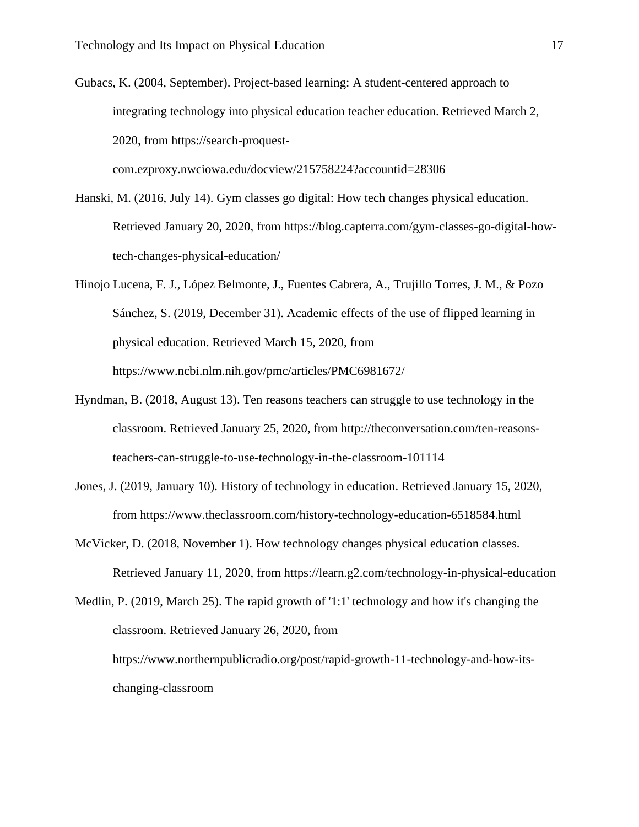Gubacs, K. (2004, September). Project-based learning: A student-centered approach to integrating technology into physical education teacher education. Retrieved March 2, 2020, from https://search-proquestcom.ezproxy.nwciowa.edu/docview/215758224?accountid=28306

- Hanski, M. (2016, July 14). Gym classes go digital: How tech changes physical education. Retrieved January 20, 2020, from https://blog.capterra.com/gym-classes-go-digital-howtech-changes-physical-education/
- Hinojo Lucena, F. J., López Belmonte, J., Fuentes Cabrera, A., Trujillo Torres, J. M., & Pozo Sánchez, S. (2019, December 31). Academic effects of the use of flipped learning in physical education. Retrieved March 15, 2020, from https://www.ncbi.nlm.nih.gov/pmc/articles/PMC6981672/
- Hyndman, B. (2018, August 13). Ten reasons teachers can struggle to use technology in the classroom. Retrieved January 25, 2020, from http://theconversation.com/ten-reasonsteachers-can-struggle-to-use-technology-in-the-classroom-101114
- Jones, J. (2019, January 10). History of technology in education. Retrieved January 15, 2020, from https://www.theclassroom.com/history-technology-education-6518584.html
- McVicker, D. (2018, November 1). How technology changes physical education classes. Retrieved January 11, 2020, from https://learn.g2.com/technology-in-physical-education

Medlin, P. (2019, March 25). The rapid growth of '1:1' technology and how it's changing the classroom. Retrieved January 26, 2020, from https://www.northernpublicradio.org/post/rapid-growth-11-technology-and-how-itschanging-classroom